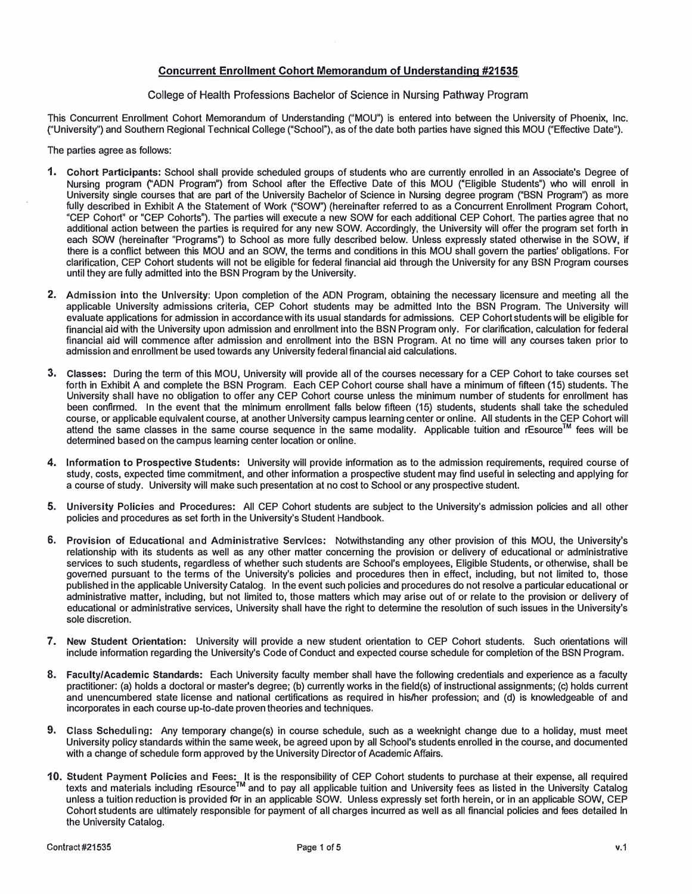## **Concurrent Enrollment Cohort Memorandum of Understanding #21535**

#### College of Health Professions Bachelor of Science in Nursing Pathway Program

This Concurrent Enrollment Cohort Memorandum of Understanding ("MOU") is entered into between the University of Phoenix, Inc. ("University") and Southern Regional Technical College ("School"), as of the date both parties have signed this MOU ("Effective Date").

The parties agree as follows:

- **1. Cohort Participants:** School shall provide scheduled groups of students who are currently enrolled in an Associate's Degree of Nursing program ("AON Program") from School after the Effective Date of this MOU ("Eligible Students") who will enroll in University single courses that are part of the University Bachelor of Science in Nursing degree program ("BSN Program") as more fully described in Exhibit A the Statement of Work ("SOW") (hereinafter referred to as a Concurrent Enrollment Program Cohort, "CEP Cohort" or "CEP Cohorts"). The parties will execute a new SOW for each additional CEP Cohort. The parties agree that no additional action between the parties is required for any new SOW. Accordingly, the University will offer the program set forth in each SOW (hereinafter "Programs") to School as more fully described below. Unless expressly stated otherwise in the SOW, if there is a conflict between this MOU and an SOW, the terms and conditions in this MOU shall govern the parties' obligations. For clarification, CEP Cohort students will not be eligible for federal financial aid through the University for any BSN Program courses until they are fully admitted into the BSN Program by the University.
- 2. Admission into the University: Upon completion of the AON Program, obtaining the necessary licensure and meeting all the applicable University admissions criteria, CEP Cohort students may be admitted Into the BSN Program. The University will evaluate applications for admission in accordance with its usual standards for admissions. CEP Cohort students will be eligible for financial aid with the University upon admission and enrollment into the BSN Program only. For clarification, calculation for federal financial aid will commence after admission and enrollment into the BSN Program. At no time will any courses taken prior to admission and enrollment be used towards any University federal financial aid calculations.
- 3. **Classes:** During the term of this MOU, University will provide all of the courses necessary for a CEP Cohort to take courses set forth in Exhibit A and complete the BSN Program. Each CEP Cohort course shall have a minimum of fifteen **(15)** students. The University shall have no obligation to offer any CEP Cohort course unless the minimum number of students for enrollment has been confirmed. In the event that the minimum enrollment falls below fifteen **(15)** students, students shall take the scheduled course, or applicable equivalent course, at another University campus learning center or online. All students in the CEP Cohort will attend the same classes in the same course sequence in the same modality. Applicable tuition and rEsource™ fees will be determined based on the campus learning center location or online.
- **4. Information to Prospective Students:** University will provide information as to the admission requirements, required course of study, costs, expected time commitment, and other information a prospective student may find useful in selecting and applying for a course of study. University will make such presentation at no cost to School or any prospective student.
- 5. University Policies and Procedures: All CEP Cohort students are subject to the University's admission policies and all other policies and procedures as set forth in the University's Student Handbook.
- 6. Provision of Educational and Administrative Services: Notwithstanding any other provision of this MOU, the University's relationship with its students as well as any other matter concerning the provision or delivery of educational **or** administrative services to such students, regardless of whether such students are School's employees, Eligible Students, or otherwise, shall be governed pursuant to the terms of the University's policies and procedures then in effect, including, but not limited to, those published in the applicable University Catalog. In the event such policies and procedures do not resolve a particular educational or administrative matter, including, but not limited to, those matters which may arise out of or relate to the provision or delivery of educational or administrative services, University shall have the right to determine the resolution of such issues in the University's sole discretion.
- **7. New Student Orientation:** University will provide a new student orientation to CEP Cohort students. Such orientations will include information regarding the University's Code of Conduct and expected course schedule for completion of the BSN Program.
- **8. Faculty/Academic Standards:** Each University faculty member shall have the following credentials and experience as a faculty practitioner: (a) holds a doctoral or master's degree; (b) currently works in the field(s) of instructional assignments; (c) holds current and unencumbered state license and national certifications as required in his/her profession; and (d) is knowledgeable of and incorporates in each course up-to-date proven theories and techniques.
- 9. Class Scheduling: Any temporary change(s) in course schedule, such as a weeknight change due to a holiday, must meet University policy standards within the same week, be agreed upon by all School's students enrolled in the course, and documented with a change of schedule form approved by the University Director of Academic Affairs.
- 10. Student Payment Policies and Fees: It is the responsibility of CEP Cohort students to purchase at their expense, all required texts and materials including rEsource™ and to pay all applicable tuition and University fees as listed in the University Catalog unless a tuition reduction is provided for in an applicable SOW. Unless expressly set forth herein, or in an applicable SOW, CEP Cohort students are ultimately responsible for payment of all charges incurred as well as all financial policies and fees detailed in the University Catalog.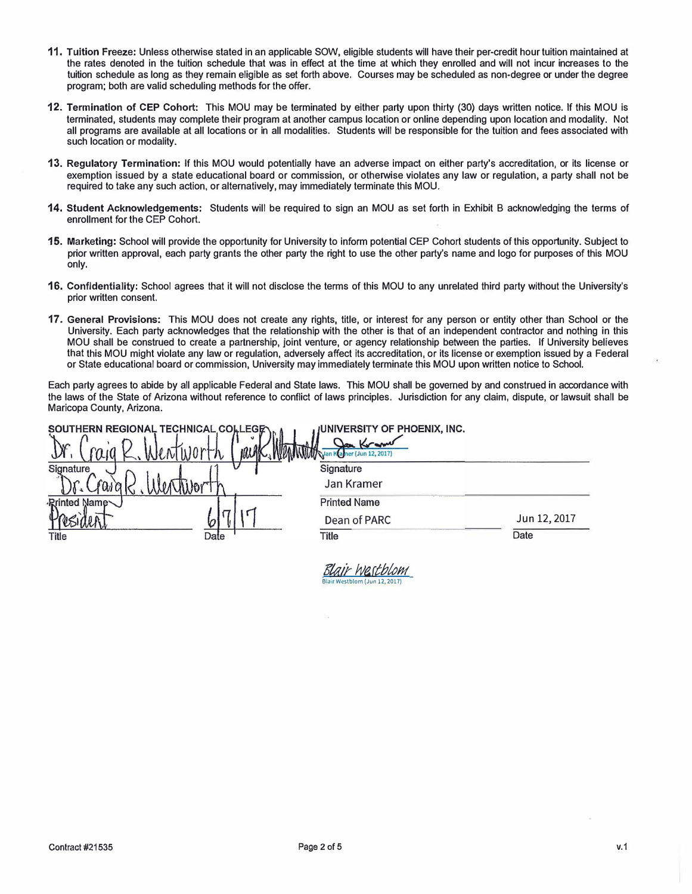- **11. Tuition Freeze: Unless otherwise stated in an applicable SOW, eligible students will have their per-credit hour tuition maintained at the rates denoted in the tuition schedule that was in effect at the time at which they enrolled and will not incur increases to the tuition schedule as long as they remain eligible as set forth above, Courses may be scheduled as non-degree or under the degree program; both are valid scheduling methods for the offer.**
- **12. Termination of CEP Cohort: This MOU may be terminated by either party upon thirty (30) days written notice. If this MOU is terminated, students may complete their program at another campus location or online depending upon location and modality. Not all programs are available at all locations or in all modalities. Students will be responsible for the tuition and fees associated with such location or modality.**
- **13. Regulatory Termination: If this MOU would potentially have an adverse impact on either party's accreditation, or its license or exemption issued by a state educational board or commission, or otherwise violates any law or regulation, a party shall not be required to take any such action, or alternatively, may immediately terminate this MOU.**
- **14. Student Acknowledgements: Students will be required to sign an MOU as set forth in Exhibit B acknowledging the terms of enrollment for the CEP Cohort.**
- **15. Marketing: School will provide the opportunity for University to inform potential CEP Cohort students of this opportunity. Subject to prior written approval, each party grants the other party the right to use the other party's name and logo for purposes of this MOU only.**
- **16. Confldentiality: School agrees that it will not disclose the terms of this MOU to any unrelated third party without the University's prior written consent.**
- **17. General Provisions: This MOU does not create any rights, title, or interest for any person or entity other than School or the University. Each party acknowledges that the relationship with the other is that of an independent contractor and nothing in this MOU shall be construed to create a partnership, joint venture, or agency relationship between the parties. If University believes that this MOU might violate any law or regulation, adversely affect its accreditation, or its license or exemption issued by a Federal or State educational board or commission, University may immediately terminate this MOU upon written notice to School.**

**Each party agrees to abide by all applicable Federal and State laws. This MOU shall be governed by and construed in accordance with the laws of the State of Arizona without reference to conflict of laws principles. Jurisdiction for any claim, dispute, or lawsuit shall be Maricopa County, Arizona.** 

Blair-westblom

| SOUTHERN REGIONAL TECHNICAL COLLEGE | <b>JUNIVERSITY OF PHOENIX, INC.</b>  |              |
|-------------------------------------|--------------------------------------|--------------|
| W.<br>uW                            | Jan Kram<br>Van Kamer (Jun 12, 2017) |              |
| Signature                           | Signature                            |              |
|                                     | Jan Kramer                           |              |
| <b>Rrinted Name</b>                 | <b>Printed Name</b>                  |              |
|                                     | Dean of PARC                         | Jun 12, 2017 |
| Title<br>Date                       | Title                                | Date         |
|                                     |                                      |              |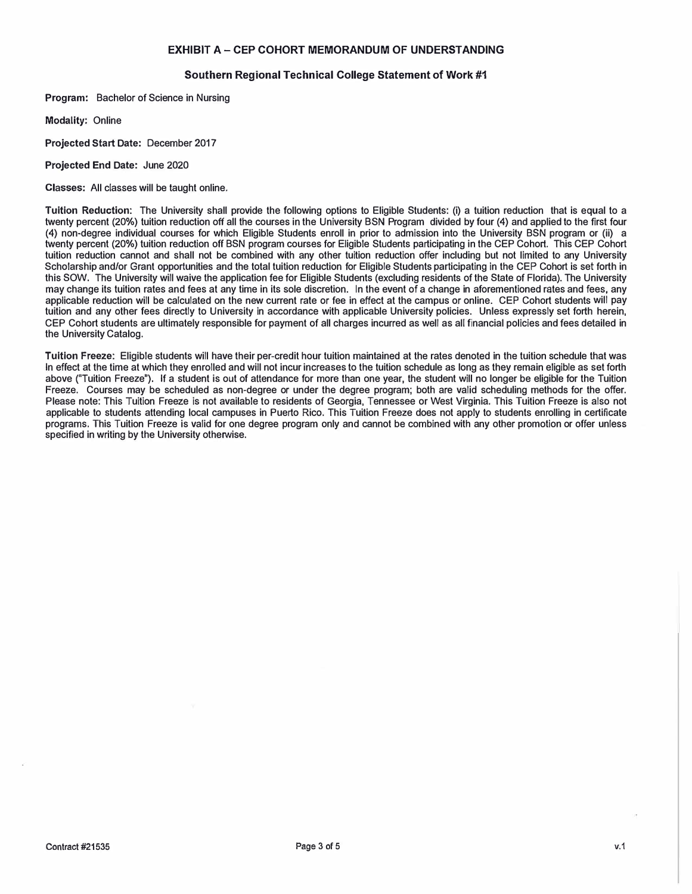## **EXHIBIT A- CEP COHORT MEMORANDUM OF UNDERSTANDING**

## **Southern Regional Technical College Statement of Work #1**

**Program: Bachelor of Science in Nursing** 

**Modality: Online** 

**Projected Start Date: December 2017** 

**Projected End Date: June 2020** 

**Classes: All classes will be taught online.** 

**Tuition Reduction: The University shall provide the following options to Eligible Students: (i) a tuition reduction that is equal to a twenty percent (20%) tuition reduction off all the courses in the University BSN Program divided by four (4) and applied to the first four (4) non-degree individual courses for which Eligible Students enroll in prior to admission into the University BSN program or (ii) a twenty percent (20%) tuition reduction off BSN program courses for Eligible Students participating in the CEP Cohort. This CEP Cohort tuition reduction cannot and shall not be combined with any other tuition reduction offer including but not limited to any University Scholarship and/or Grant opportunities and the total tuition reduction for Eligible Students participating in the CEP Cohort is set forth in this SOW. The University will waive the application fee for Eligible Students (excluding residents of the State of Florida). The University may change its tuition rates and fees at any time in its sole discretion. In the event of a change in aforementioned rates and fees, any applicable reduction will be calculated on the new current rate or fee in effect at the campus or online. CEP Cohort students will pay tuition and any other fees directly to University in accordance with applicable University policies. Unless expressly set forth herein, CEP Cohort students are ultimately responsible for payment of all charges incurred as well as all financial policies and fees detailed in the University Catalog.** 

**Tuition Freeze: Eligible students will have their per-credit hour tuition maintained at the rates denoted in the tuition schedule that was In effect at the time at which they enrolled and will not incur increases to the tuition schedule as long as they remain eligible as set forth above ("Tuition Freeze"). If a student is out of attendance for more than one year, the student will no longer be eligible for the Tuition Freeze. Courses may be scheduled as non-degree or under the degree program; both are valid scheduling methods for the offer. Please note: This Tuition Freeze is not available to residents of Georgia, Tennessee or West Virginia. This Tuition Freeze is also not applicable to students attending local campuses in Puerto Rico. This Tuition Freeze does not apply to students enrolling in certificate programs. This Tuition Freeze is valid for one degree program only and cannot be combined with any other promotion or offer unless specified in writing by the University otherwise.**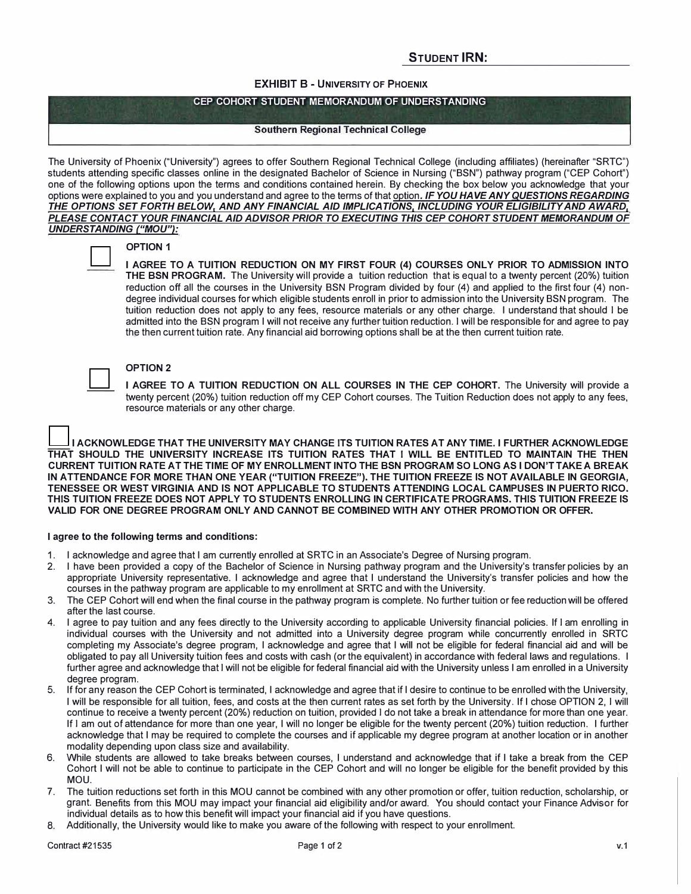## **STUDENT IRN:**

#### **EXHIBIT B - UNIVERSITY OF PHOENIX**

#### **CEP COHORT STUDENT MEMORANDUM OF UNDERSTANDING**

#### **Southern Regional Technical College**

**The University of Phoenix ("University") agrees to offer Southern Regional Technical College (including affiliates) (hereinafter "SRTC") students attending specific classes online in the designated Bachelor of Science in Nursing ("BSN") pathway program ("CEP Cohort") one of the following options upon the terms and conditions contained herein. By checking the box below you acknowledge that your options were explained to you and you understand and agree to the terms of that option.** *IF YOU HA VE ANY QUESTIONS REGARDING THE OPTIONS SET FORTH BELOW, AND ANY FINANCIAL AID IMPLICATIONS. INCLUDING YOUR ELIGIBILITY AND AWARD. PLEASE CONTACT YOUR FINANCIAL AID ADVISOR PRIOR TO EXECUTING THIS CEP COHORT STUDENT MEMORANDUM* **OF**  *UNDERSTANDING ("MOU"):* 



# **OPTION 1**

**I AGREE TO A TUITION REDUCTION ON MY FIRST FOUR (4) COURSES ONLY PRIOR TO ADMISSION INTO THE BSN PROGRAM. The University will provide a tuition reduction that is equal to a twenty percent (20%) tuition reduction off all the courses in the University BSN Program divided by four (4) and applied to the first four (4) nondegree individual courses for which eligible students enroll in prior to admission into the University BSN program. The tuition reduction does not apply to any fees, resource materials or any other charge. I understand that should I be admitted into the BSN program I will not receive any further tuition reduction. I will be responsible for and agree to pay the then current tuition rate. Any financial aid borrowing options shall be at the then current tuition rate.** 



## **OPTION 2**

**I AGREE TO A TUITION REDUCTION ON ALL COURSES IN THE CEP COHORT. The University will provide a twenty percent (20%) tuition reduction off my CEP Cohort courses. The Tuition Reduction does not apply to any fees, resource materials or any other charge.** 

**I ACKNOWLEDGE THAT THE UNIVERSITY MAY CHANGE ITS TUITION RATES AT ANY TIME. I FURTHER ACKNOWLEDGE THAT SHOULD THE UNIVERSITY INCREASE ITS TUITION RATES THAT I WILL BE ENTITLED TO MAINTAIN THE THEN CURRENT TUITION RATE AT THE TIME OF MY ENROLLMENT INTO THE BSN PROGRAM 50 LONG AS I DON'T TAKE A BREAK IN ATTENDANCE FOR MORE THAN ONE YEAR ("TUITION FREEZE"). THE TUITION FREEZE 15 NOT AVAILABLE IN GEORGIA, TENESSEE OR WEST VIRGINIA AND 15 NOT APPLICABLE TO STUDENTS ATTENDING LOCAL CAMPUSES IN PUERTO RICO. THIS TUITION FREEZE DOES NOT APPLY TO STUDENTS ENROLLING IN CERTIFICATE PROGRAMS. THIS TUITION FREEZE 15 VALID FOR ONE DEGREE PROGRAM ONLY AND CANNOT BE COMBINED WITH ANY OTHER PROMOTION OR OFFER.** 

#### **I agree to the following terms and conditions:**

- **1. I acknowledge and agree that I am currently enrolled at SRTC in an Associate's Degree of Nursing program.**
- **2. I have been provided a copy of the Bachelor of Science in Nursing pathway program and the University's transfer policies by an appropriate University representative. I acknowledge and agree that I understand the University's transfer policies and how the courses in the pathway program are applicable to my enrollment at SRTC and with the University.**
- **3. The CEP Cohort will end when the final course in the pathway program is complete. No further tuition or fee reduction will be offered after the last course.**
- **4. I agree to pay tuition and any fees directly to the University according to applicable University financial policies. If I am enrolling in individual courses with the University and not admitted into a University degree program while concurrently enrolled in SRTC completing my Associate's degree program, I acknowledge and agree that I will not be eligible for federal financial aid and will be obligated to pay all University tuition fees and costs with cash (or the equivalent) in accordance with federal laws and regulations. I**  further agree and acknowledge that I will not be eligible for federal financial aid with the University unless I am enrolled in a University **degree program.**
- **5. If for any reason the CEP Cohort is terminated, I acknowledge and agree that if I desire to continue to be enrolled with the University, I will be responsible for all tuition, fees, and costs at the then current rates as set forth by the University. If I chose OPTION 2, I will continue to receive a twenty percent (20%) reduction on tuition, provided I do not take a break in attendance for more than one year. If I am out of attendance for more than one year, I will no longer be eligible for the twenty percent (20%) tuition reduction. I further acknowledge that I may be required to complete the courses and if applicable my degree program at another location or in another modality depending upon class size and availability.**
- **6. While students are allowed to take breaks between courses, I understand and acknowledge that if I take a break from the CEP Cohort I will not be able to continue to participate in the CEP Cohort and will no longer be eligible for the benefit provided by this MOU.**
- **7. The tuition reductions set forth in this MOU cannot be combined with any other promotion or offer, tuition reduction, scholarship, or grant. Benefits from this MOU may impact your financial aid eligibility and/or award. You should contact your Finance Advisor for individual details as to how this benefit will impact your financial aid if you have questions.**
- **8. Additionally, the University would like to make you aware of the following with respect to your enrollment.**